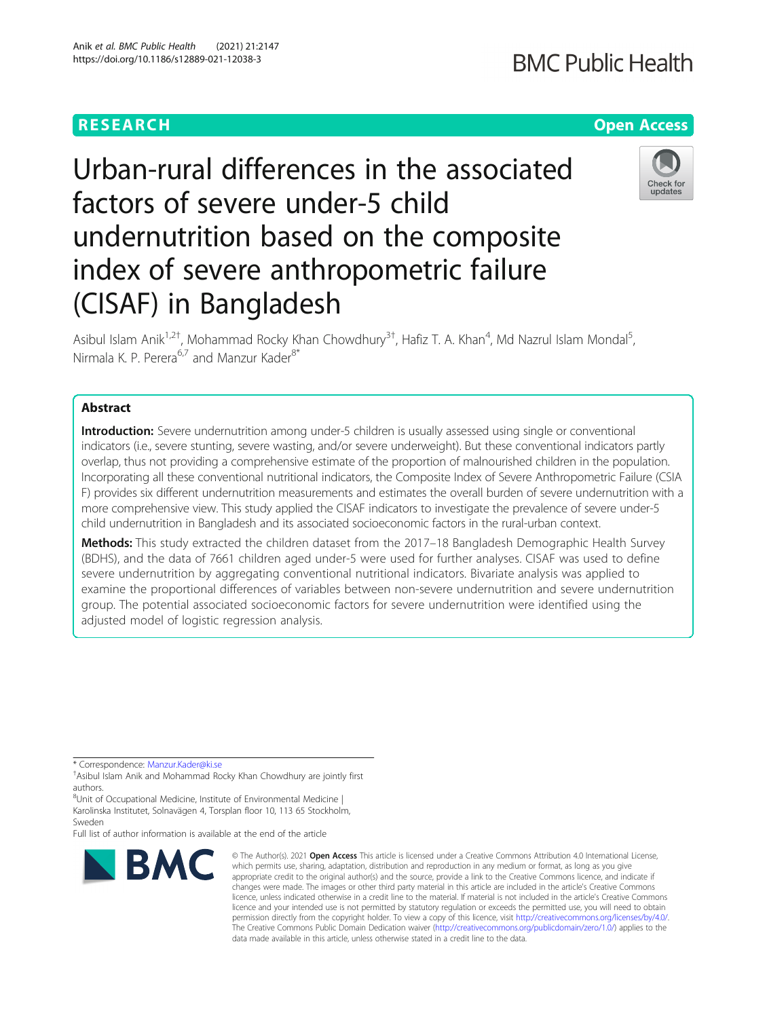Anik et al. BMC Public Health (2021) 21:2147

# **BMC Public Health**

# **RESEARCH CHEAR CHEAR CHEAR CHEAR CHEAR CHEAP CONTROL**

# Check for undates

Urban-rural differences in the associated factors of severe under-5 child undernutrition based on the composite index of severe anthropometric failure (CISAF) in Bangladesh

Asibul Islam Anik<sup>1,2†</sup>, Mohammad Rocky Khan Chowdhury<sup>3†</sup>, Hafiz T. A. Khan<sup>4</sup>, Md Nazrul Islam Mondal<sup>5</sup> , Nirmala K. P. Perera<sup>6,7</sup> and Manzur Kader<sup>8\*</sup>

# Abstract

Introduction: Severe undernutrition among under-5 children is usually assessed using single or conventional indicators (i.e., severe stunting, severe wasting, and/or severe underweight). But these conventional indicators partly overlap, thus not providing a comprehensive estimate of the proportion of malnourished children in the population. Incorporating all these conventional nutritional indicators, the Composite Index of Severe Anthropometric Failure (CSIA F) provides six different undernutrition measurements and estimates the overall burden of severe undernutrition with a more comprehensive view. This study applied the CISAF indicators to investigate the prevalence of severe under-5 child undernutrition in Bangladesh and its associated socioeconomic factors in the rural-urban context.

Methods: This study extracted the children dataset from the 2017-18 Bangladesh Demographic Health Survey (BDHS), and the data of 7661 children aged under-5 were used for further analyses. CISAF was used to define severe undernutrition by aggregating conventional nutritional indicators. Bivariate analysis was applied to examine the proportional differences of variables between non-severe undernutrition and severe undernutrition group. The potential associated socioeconomic factors for severe undernutrition were identified using the adjusted model of logistic regression analysis.

\* Correspondence: [Manzur.Kader@ki.se](mailto:Manzur.Kader@ki.se) †

<sup>8</sup>Unit of Occupational Medicine, Institute of Environmental Medicine | Karolinska Institutet, Solnavägen 4, Torsplan floor 10, 113 65 Stockholm, Sweden

Full list of author information is available at the end of the article



<sup>©</sup> The Author(s), 2021 **Open Access** This article is licensed under a Creative Commons Attribution 4.0 International License, which permits use, sharing, adaptation, distribution and reproduction in any medium or format, as long as you give appropriate credit to the original author(s) and the source, provide a link to the Creative Commons licence, and indicate if changes were made. The images or other third party material in this article are included in the article's Creative Commons licence, unless indicated otherwise in a credit line to the material. If material is not included in the article's Creative Commons licence and your intended use is not permitted by statutory regulation or exceeds the permitted use, you will need to obtain permission directly from the copyright holder. To view a copy of this licence, visit [http://creativecommons.org/licenses/by/4.0/.](http://creativecommons.org/licenses/by/4.0/) The Creative Commons Public Domain Dedication waiver [\(http://creativecommons.org/publicdomain/zero/1.0/](http://creativecommons.org/publicdomain/zero/1.0/)) applies to the data made available in this article, unless otherwise stated in a credit line to the data.

Asibul Islam Anik and Mohammad Rocky Khan Chowdhury are jointly first authors.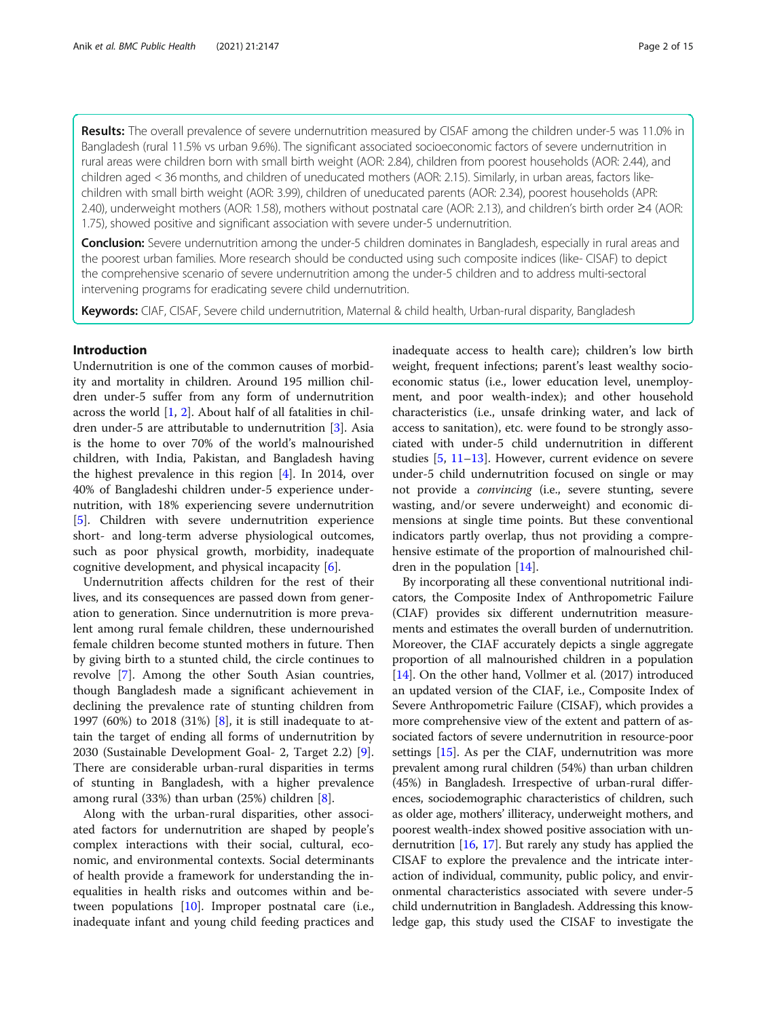Results: The overall prevalence of severe undernutrition measured by CISAF among the children under-5 was 11.0% in Bangladesh (rural 11.5% vs urban 9.6%). The significant associated socioeconomic factors of severe undernutrition in rural areas were children born with small birth weight (AOR: 2.84), children from poorest households (AOR: 2.44), and children aged < 36 months, and children of uneducated mothers (AOR: 2.15). Similarly, in urban areas, factors likechildren with small birth weight (AOR: 3.99), children of uneducated parents (AOR: 2.34), poorest households (APR: 2.40), underweight mothers (AOR: 1.58), mothers without postnatal care (AOR: 2.13), and children's birth order ≥4 (AOR: 1.75), showed positive and significant association with severe under-5 undernutrition.

**Conclusion:** Severe undernutrition among the under-5 children dominates in Bangladesh, especially in rural areas and the poorest urban families. More research should be conducted using such composite indices (like- CISAF) to depict the comprehensive scenario of severe undernutrition among the under-5 children and to address multi-sectoral intervening programs for eradicating severe child undernutrition.

Keywords: CIAF, CISAF, Severe child undernutrition, Maternal & child health, Urban-rural disparity, Bangladesh

# Introduction

Undernutrition is one of the common causes of morbidity and mortality in children. Around 195 million children under-5 suffer from any form of undernutrition across the world [\[1](#page-13-0), [2](#page-13-0)]. About half of all fatalities in children under-5 are attributable to undernutrition [\[3](#page-13-0)]. Asia is the home to over 70% of the world's malnourished children, with India, Pakistan, and Bangladesh having the highest prevalence in this region [\[4](#page-13-0)]. In 2014, over 40% of Bangladeshi children under-5 experience undernutrition, with 18% experiencing severe undernutrition [[5\]](#page-13-0). Children with severe undernutrition experience short- and long-term adverse physiological outcomes, such as poor physical growth, morbidity, inadequate cognitive development, and physical incapacity [[6\]](#page-13-0).

Undernutrition affects children for the rest of their lives, and its consequences are passed down from generation to generation. Since undernutrition is more prevalent among rural female children, these undernourished female children become stunted mothers in future. Then by giving birth to a stunted child, the circle continues to revolve [[7\]](#page-13-0). Among the other South Asian countries, though Bangladesh made a significant achievement in declining the prevalence rate of stunting children from 1997 (60%) to 2018 (31%) [[8\]](#page-13-0), it is still inadequate to attain the target of ending all forms of undernutrition by 2030 (Sustainable Development Goal- 2, Target 2.2) [\[9](#page-13-0)]. There are considerable urban-rural disparities in terms of stunting in Bangladesh, with a higher prevalence among rural (33%) than urban (25%) children [[8\]](#page-13-0).

Along with the urban-rural disparities, other associated factors for undernutrition are shaped by people's complex interactions with their social, cultural, economic, and environmental contexts. Social determinants of health provide a framework for understanding the inequalities in health risks and outcomes within and between populations [\[10](#page-13-0)]. Improper postnatal care (i.e., inadequate infant and young child feeding practices and inadequate access to health care); children's low birth weight, frequent infections; parent's least wealthy socioeconomic status (i.e., lower education level, unemployment, and poor wealth-index); and other household characteristics (i.e., unsafe drinking water, and lack of access to sanitation), etc. were found to be strongly associated with under-5 child undernutrition in different studies [[5,](#page-13-0) [11](#page-13-0)–[13\]](#page-13-0). However, current evidence on severe under-5 child undernutrition focused on single or may not provide a convincing (i.e., severe stunting, severe wasting, and/or severe underweight) and economic dimensions at single time points. But these conventional indicators partly overlap, thus not providing a comprehensive estimate of the proportion of malnourished children in the population [\[14](#page-13-0)].

By incorporating all these conventional nutritional indicators, the Composite Index of Anthropometric Failure (CIAF) provides six different undernutrition measurements and estimates the overall burden of undernutrition. Moreover, the CIAF accurately depicts a single aggregate proportion of all malnourished children in a population [[14](#page-13-0)]. On the other hand, Vollmer et al. (2017) introduced an updated version of the CIAF, i.e., Composite Index of Severe Anthropometric Failure (CISAF), which provides a more comprehensive view of the extent and pattern of associated factors of severe undernutrition in resource-poor settings [\[15\]](#page-13-0). As per the CIAF, undernutrition was more prevalent among rural children (54%) than urban children (45%) in Bangladesh. Irrespective of urban-rural differences, sociodemographic characteristics of children, such as older age, mothers' illiteracy, underweight mothers, and poorest wealth-index showed positive association with undernutrition [[16](#page-13-0), [17](#page-13-0)]. But rarely any study has applied the CISAF to explore the prevalence and the intricate interaction of individual, community, public policy, and environmental characteristics associated with severe under-5 child undernutrition in Bangladesh. Addressing this knowledge gap, this study used the CISAF to investigate the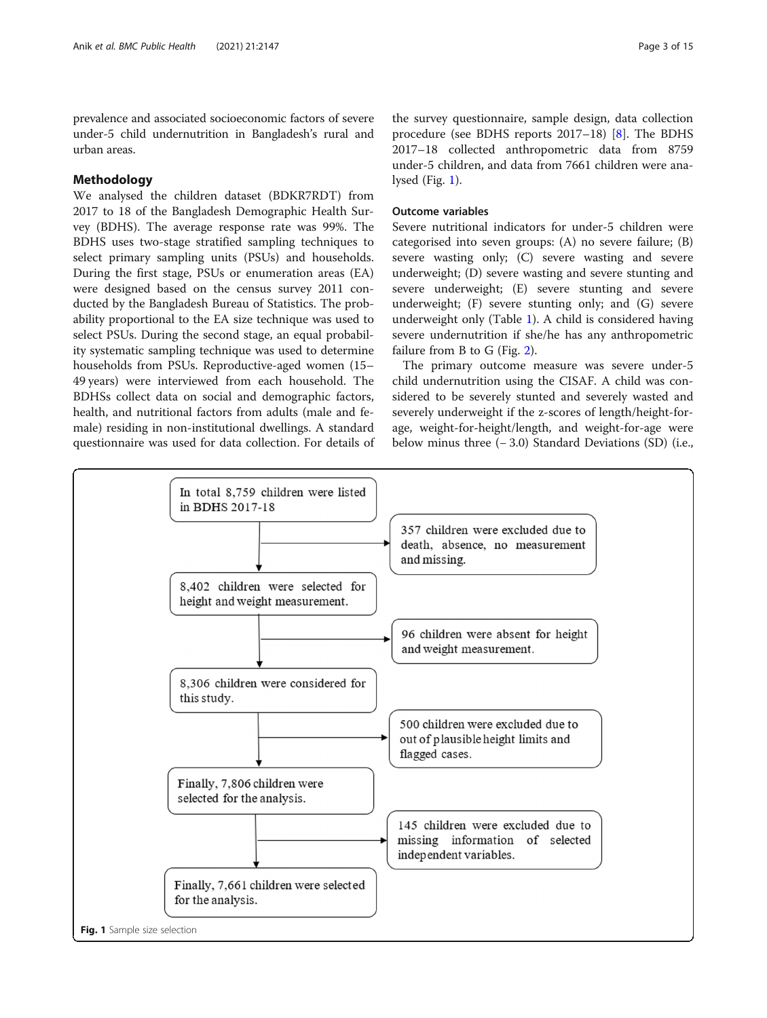prevalence and associated socioeconomic factors of severe under-5 child undernutrition in Bangladesh's rural and urban areas.

# **Methodology**

We analysed the children dataset (BDKR7RDT) from 2017 to 18 of the Bangladesh Demographic Health Survey (BDHS). The average response rate was 99%. The BDHS uses two-stage stratified sampling techniques to select primary sampling units (PSUs) and households. During the first stage, PSUs or enumeration areas (EA) were designed based on the census survey 2011 conducted by the Bangladesh Bureau of Statistics. The probability proportional to the EA size technique was used to select PSUs. During the second stage, an equal probability systematic sampling technique was used to determine households from PSUs. Reproductive-aged women (15– 49 years) were interviewed from each household. The BDHSs collect data on social and demographic factors, health, and nutritional factors from adults (male and female) residing in non-institutional dwellings. A standard questionnaire was used for data collection. For details of

the survey questionnaire, sample design, data collection procedure (see BDHS reports 2017–18) [\[8](#page-13-0)]. The BDHS 2017–18 collected anthropometric data from 8759 under-5 children, and data from 7661 children were analysed (Fig. 1).

# Outcome variables

Severe nutritional indicators for under-5 children were categorised into seven groups: (A) no severe failure; (B) severe wasting only; (C) severe wasting and severe underweight; (D) severe wasting and severe stunting and severe underweight; (E) severe stunting and severe underweight; (F) severe stunting only; and (G) severe underweight only (Table [1\)](#page-3-0). A child is considered having severe undernutrition if she/he has any anthropometric failure from B to G (Fig. [2\)](#page-3-0).

The primary outcome measure was severe under-5 child undernutrition using the CISAF. A child was considered to be severely stunted and severely wasted and severely underweight if the z-scores of length/height-forage, weight-for-height/length, and weight-for-age were below minus three (− 3.0) Standard Deviations (SD) (i.e.,

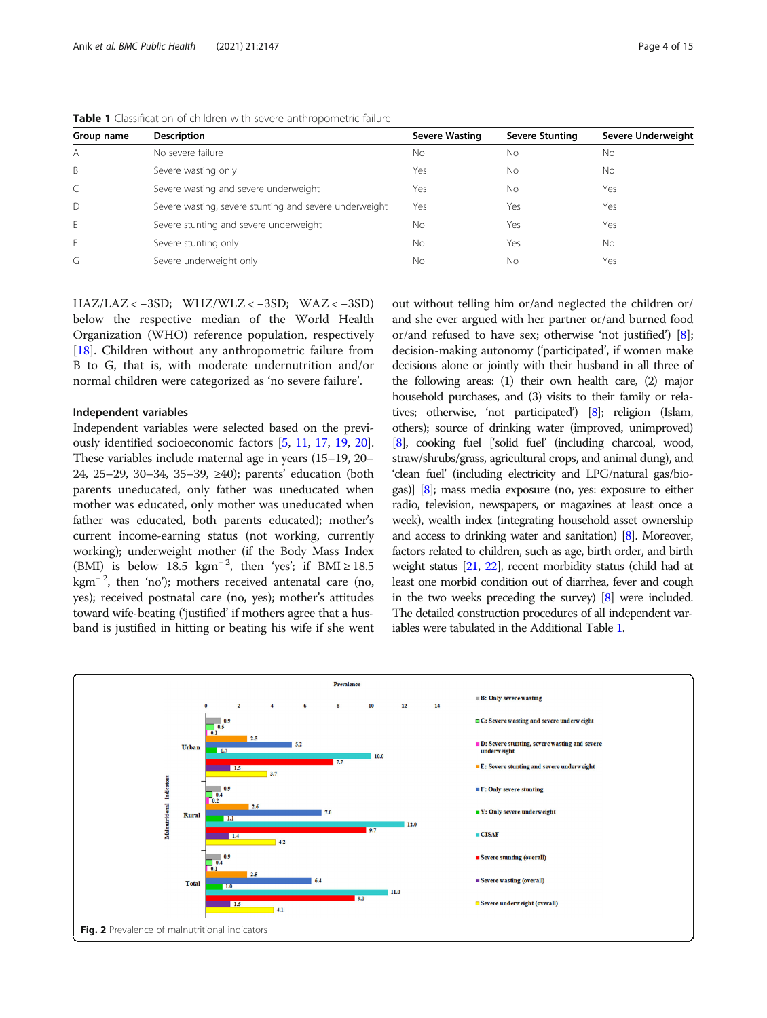| Group name | <b>Description</b>                                     | Severe Wasting | <b>Severe Stunting</b> | Severe Underweight |
|------------|--------------------------------------------------------|----------------|------------------------|--------------------|
| A          | No severe failure                                      | Nο             | No                     | No                 |
| B          | Severe wasting only                                    | Yes            | No                     | No.                |
|            | Severe wasting and severe underweight                  | Yes            | No                     | Yes                |
| D          | Severe wasting, severe stunting and severe underweight | Yes            | Yes                    | Yes                |
| Ε          | Severe stunting and severe underweight                 | No             | Yes                    | Yes                |
|            | Severe stunting only                                   | No             | Yes                    | <b>No</b>          |
| G          | Severe underweight only                                | No             | No                     | Yes                |

<span id="page-3-0"></span>Table 1 Classification of children with severe anthropometric failure

HAZ/LAZ < −3SD; WHZ/WLZ < −3SD; WAZ < −3SD) below the respective median of the World Health Organization (WHO) reference population, respectively [[18\]](#page-13-0). Children without any anthropometric failure from B to G, that is, with moderate undernutrition and/or normal children were categorized as 'no severe failure'.

#### Independent variables

Independent variables were selected based on the previously identified socioeconomic factors [[5,](#page-13-0) [11](#page-13-0), [17](#page-13-0), [19,](#page-13-0) [20](#page-13-0)]. These variables include maternal age in years (15–19, 20– 24, 25–29, 30–34, 35–39, ≥40); parents' education (both parents uneducated, only father was uneducated when mother was educated, only mother was uneducated when father was educated, both parents educated); mother's current income-earning status (not working, currently working); underweight mother (if the Body Mass Index (BMI) is below 18.5 kgm<sup>-2</sup>, then 'yes'; if BMI ≥ 18.5 kgm<sup>-2</sup>, then 'no'); mothers received antenatal care (no, yes); received postnatal care (no, yes); mother's attitudes toward wife-beating ('justified' if mothers agree that a husband is justified in hitting or beating his wife if she went

out without telling him or/and neglected the children or/ and she ever argued with her partner or/and burned food or/and refused to have sex; otherwise 'not justified') [[8](#page-13-0)]; decision-making autonomy ('participated', if women make decisions alone or jointly with their husband in all three of the following areas: (1) their own health care, (2) major household purchases, and (3) visits to their family or relatives; otherwise, 'not participated') [\[8](#page-13-0)]; religion (Islam, others); source of drinking water (improved, unimproved) [[8](#page-13-0)], cooking fuel ['solid fuel' (including charcoal, wood, straw/shrubs/grass, agricultural crops, and animal dung), and 'clean fuel' (including electricity and LPG/natural gas/biogas)] [\[8\]](#page-13-0); mass media exposure (no, yes: exposure to either radio, television, newspapers, or magazines at least once a week), wealth index (integrating household asset ownership and access to drinking water and sanitation) [[8](#page-13-0)]. Moreover, factors related to children, such as age, birth order, and birth weight status [\[21](#page-13-0), [22](#page-13-0)], recent morbidity status (child had at least one morbid condition out of diarrhea, fever and cough in the two weeks preceding the survey) [\[8](#page-13-0)] were included. The detailed construction procedures of all independent variables were tabulated in the Additional Table 1.

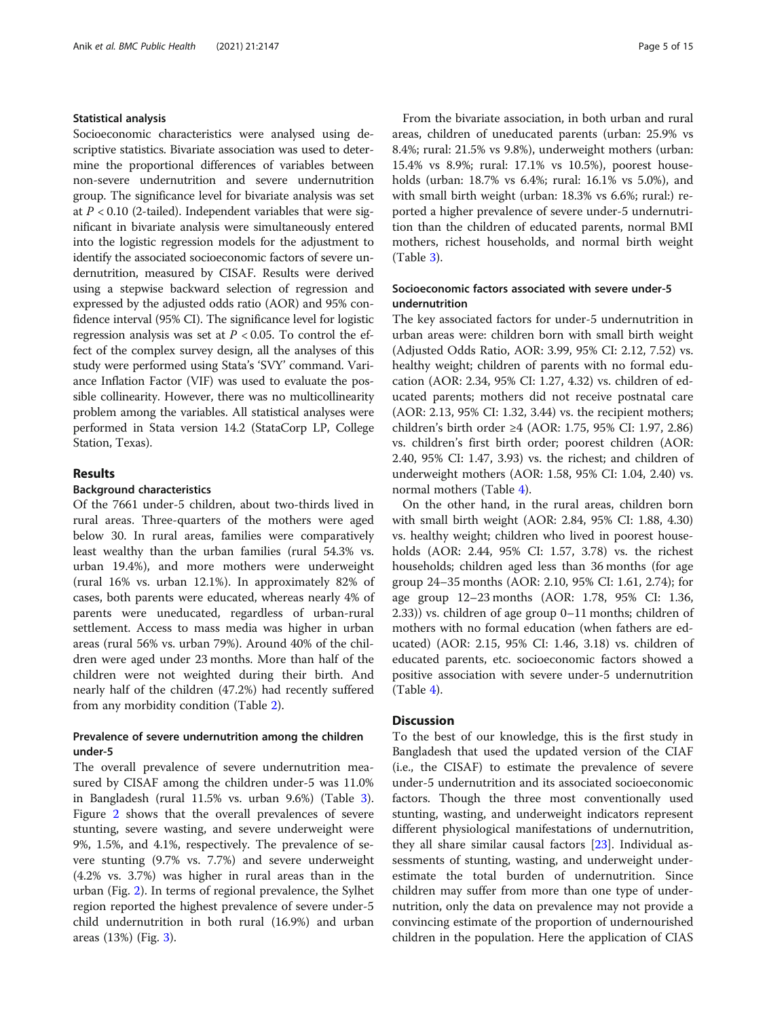### Statistical analysis

Socioeconomic characteristics were analysed using descriptive statistics. Bivariate association was used to determine the proportional differences of variables between non-severe undernutrition and severe undernutrition group. The significance level for bivariate analysis was set at  $P < 0.10$  (2-tailed). Independent variables that were significant in bivariate analysis were simultaneously entered into the logistic regression models for the adjustment to identify the associated socioeconomic factors of severe undernutrition, measured by CISAF. Results were derived using a stepwise backward selection of regression and expressed by the adjusted odds ratio (AOR) and 95% confidence interval (95% CI). The significance level for logistic regression analysis was set at  $P < 0.05$ . To control the effect of the complex survey design, all the analyses of this study were performed using Stata's 'SVY' command. Variance Inflation Factor (VIF) was used to evaluate the possible collinearity. However, there was no multicollinearity problem among the variables. All statistical analyses were performed in Stata version 14.2 (StataCorp LP, College Station, Texas).

# Results

### Background characteristics

Of the 7661 under-5 children, about two-thirds lived in rural areas. Three-quarters of the mothers were aged below 30. In rural areas, families were comparatively least wealthy than the urban families (rural 54.3% vs. urban 19.4%), and more mothers were underweight (rural 16% vs. urban 12.1%). In approximately 82% of cases, both parents were educated, whereas nearly 4% of parents were uneducated, regardless of urban-rural settlement. Access to mass media was higher in urban areas (rural 56% vs. urban 79%). Around 40% of the children were aged under 23 months. More than half of the children were not weighted during their birth. And nearly half of the children (47.2%) had recently suffered from any morbidity condition (Table [2](#page-5-0)).

# Prevalence of severe undernutrition among the children under-5

The overall prevalence of severe undernutrition measured by CISAF among the children under-5 was 11.0% in Bangladesh (rural 11.5% vs. urban 9.6%) (Table [3](#page-7-0)). Figure [2](#page-3-0) shows that the overall prevalences of severe stunting, severe wasting, and severe underweight were 9%, 1.5%, and 4.1%, respectively. The prevalence of severe stunting (9.7% vs. 7.7%) and severe underweight (4.2% vs. 3.7%) was higher in rural areas than in the urban (Fig. [2](#page-3-0)). In terms of regional prevalence, the Sylhet region reported the highest prevalence of severe under-5 child undernutrition in both rural (16.9%) and urban areas (13%) (Fig. [3\)](#page-9-0).

From the bivariate association, in both urban and rural areas, children of uneducated parents (urban: 25.9% vs 8.4%; rural: 21.5% vs 9.8%), underweight mothers (urban: 15.4% vs 8.9%; rural: 17.1% vs 10.5%), poorest households (urban: 18.7% vs 6.4%; rural: 16.1% vs 5.0%), and with small birth weight (urban: 18.3% vs 6.6%; rural:) reported a higher prevalence of severe under-5 undernutrition than the children of educated parents, normal BMI mothers, richest households, and normal birth weight (Table [3\)](#page-7-0).

# Socioeconomic factors associated with severe under-5 undernutrition

The key associated factors for under-5 undernutrition in urban areas were: children born with small birth weight (Adjusted Odds Ratio, AOR: 3.99, 95% CI: 2.12, 7.52) vs. healthy weight; children of parents with no formal education (AOR: 2.34, 95% CI: 1.27, 4.32) vs. children of educated parents; mothers did not receive postnatal care (AOR: 2.13, 95% CI: 1.32, 3.44) vs. the recipient mothers; children's birth order ≥4 (AOR: 1.75, 95% CI: 1.97, 2.86) vs. children's first birth order; poorest children (AOR: 2.40, 95% CI: 1.47, 3.93) vs. the richest; and children of underweight mothers (AOR: 1.58, 95% CI: 1.04, 2.40) vs. normal mothers (Table [4\)](#page-10-0).

On the other hand, in the rural areas, children born with small birth weight (AOR: 2.84, 95% CI: 1.88, 4.30) vs. healthy weight; children who lived in poorest households (AOR: 2.44, 95% CI: 1.57, 3.78) vs. the richest households; children aged less than 36 months (for age group 24–35 months (AOR: 2.10, 95% CI: 1.61, 2.74); for age group 12–23 months (AOR: 1.78, 95% CI: 1.36, 2.33)) vs. children of age group 0–11 months; children of mothers with no formal education (when fathers are educated) (AOR: 2.15, 95% CI: 1.46, 3.18) vs. children of educated parents, etc. socioeconomic factors showed a positive association with severe under-5 undernutrition (Table [4\)](#page-10-0).

# **Discussion**

To the best of our knowledge, this is the first study in Bangladesh that used the updated version of the CIAF (i.e., the CISAF) to estimate the prevalence of severe under-5 undernutrition and its associated socioeconomic factors. Though the three most conventionally used stunting, wasting, and underweight indicators represent different physiological manifestations of undernutrition, they all share similar causal factors [\[23\]](#page-13-0). Individual assessments of stunting, wasting, and underweight underestimate the total burden of undernutrition. Since children may suffer from more than one type of undernutrition, only the data on prevalence may not provide a convincing estimate of the proportion of undernourished children in the population. Here the application of CIAS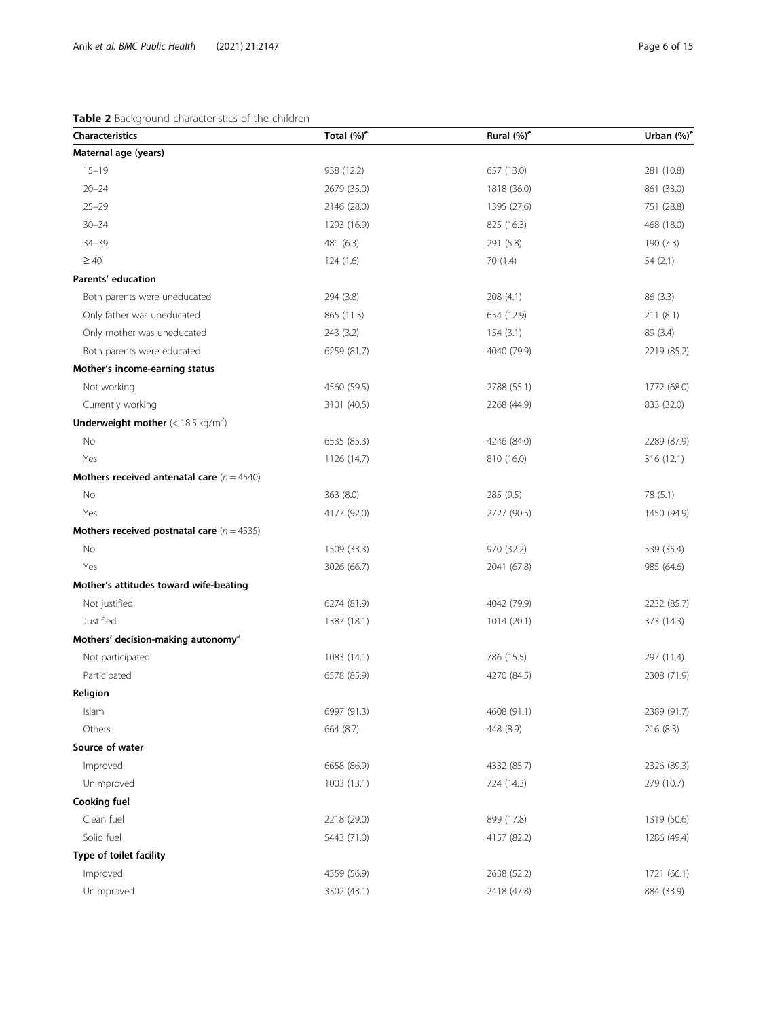# <span id="page-5-0"></span>Table 2 Background characteristics of the children

| <b>Characteristics</b>                              | Total (%) <sup>e</sup> | Rural (%) <sup>e</sup> | Urban $(\%)^e$ |
|-----------------------------------------------------|------------------------|------------------------|----------------|
| Maternal age (years)                                |                        |                        |                |
| $15 - 19$                                           | 938 (12.2)             | 657 (13.0)             | 281 (10.8)     |
| $20 - 24$                                           | 2679 (35.0)            | 1818 (36.0)            | 861 (33.0)     |
| $25 - 29$                                           | 2146 (28.0)            | 1395 (27.6)            | 751 (28.8)     |
| $30 - 34$                                           | 1293 (16.9)            | 825 (16.3)             | 468 (18.0)     |
| 34-39                                               | 481 (6.3)              | 291 (5.8)              | 190 (7.3)      |
| $\geq 40$                                           | 124(1.6)               | 70(1.4)                | 54(2.1)        |
| Parents' education                                  |                        |                        |                |
| Both parents were uneducated                        | 294 (3.8)              | 208(4.1)               | 86 (3.3)       |
| Only father was uneducated                          | 865 (11.3)             | 654 (12.9)             | 211(8.1)       |
| Only mother was uneducated                          | 243 (3.2)              | 154(3.1)               | 89 (3.4)       |
| Both parents were educated                          | 6259 (81.7)            | 4040 (79.9)            | 2219 (85.2)    |
| Mother's income-earning status                      |                        |                        |                |
| Not working                                         | 4560 (59.5)            | 2788 (55.1)            | 1772 (68.0)    |
| Currently working                                   | 3101 (40.5)            | 2268 (44.9)            | 833 (32.0)     |
| <b>Underweight mother</b> $(< 18.5 \text{ kg/m}^2)$ |                        |                        |                |
| No                                                  | 6535 (85.3)            | 4246 (84.0)            | 2289 (87.9)    |
| Yes                                                 | 1126 (14.7)            | 810 (16.0)             | 316 (12.1)     |
| Mothers received antenatal care $(n = 4540)$        |                        |                        |                |
| No                                                  | 363 (8.0)              | 285(9.5)               | 78 (5.1)       |
| Yes                                                 | 4177 (92.0)            | 2727 (90.5)            | 1450 (94.9)    |
| Mothers received postnatal care $(n = 4535)$        |                        |                        |                |
| No                                                  | 1509 (33.3)            | 970 (32.2)             | 539 (35.4)     |
| Yes                                                 | 3026 (66.7)            | 2041 (67.8)            | 985 (64.6)     |
| Mother's attitudes toward wife-beating              |                        |                        |                |
| Not justified                                       | 6274 (81.9)            | 4042 (79.9)            | 2232 (85.7)    |
| Justified                                           | 1387 (18.1)            | 1014(20.1)             | 373 (14.3)     |
| Mothers' decision-making autonomy <sup>a</sup>      |                        |                        |                |
| Not participated                                    | 1083 (14.1)            | 786 (15.5)             | 297 (11.4)     |
| Participated                                        | 6578 (85.9)            | 4270 (84.5)            | 2308 (71.9)    |
| Religion                                            |                        |                        |                |
| Islam                                               | 6997 (91.3)            | 4608 (91.1)            | 2389 (91.7)    |
| Others                                              | 664 (8.7)              | 448 (8.9)              | 216 (8.3)      |
| Source of water                                     |                        |                        |                |
| Improved                                            | 6658 (86.9)            | 4332 (85.7)            | 2326 (89.3)    |
| Unimproved                                          | 1003(13.1)             | 724 (14.3)             | 279 (10.7)     |
| <b>Cooking fuel</b>                                 |                        |                        |                |
| Clean fuel                                          | 2218 (29.0)            | 899 (17.8)             | 1319 (50.6)    |
| Solid fuel                                          | 5443 (71.0)            | 4157 (82.2)            | 1286 (49.4)    |
| Type of toilet facility                             |                        |                        |                |
| Improved                                            | 4359 (56.9)            | 2638 (52.2)            | 1721 (66.1)    |
| Unimproved                                          | 3302 (43.1)            | 2418 (47.8)            | 884 (33.9)     |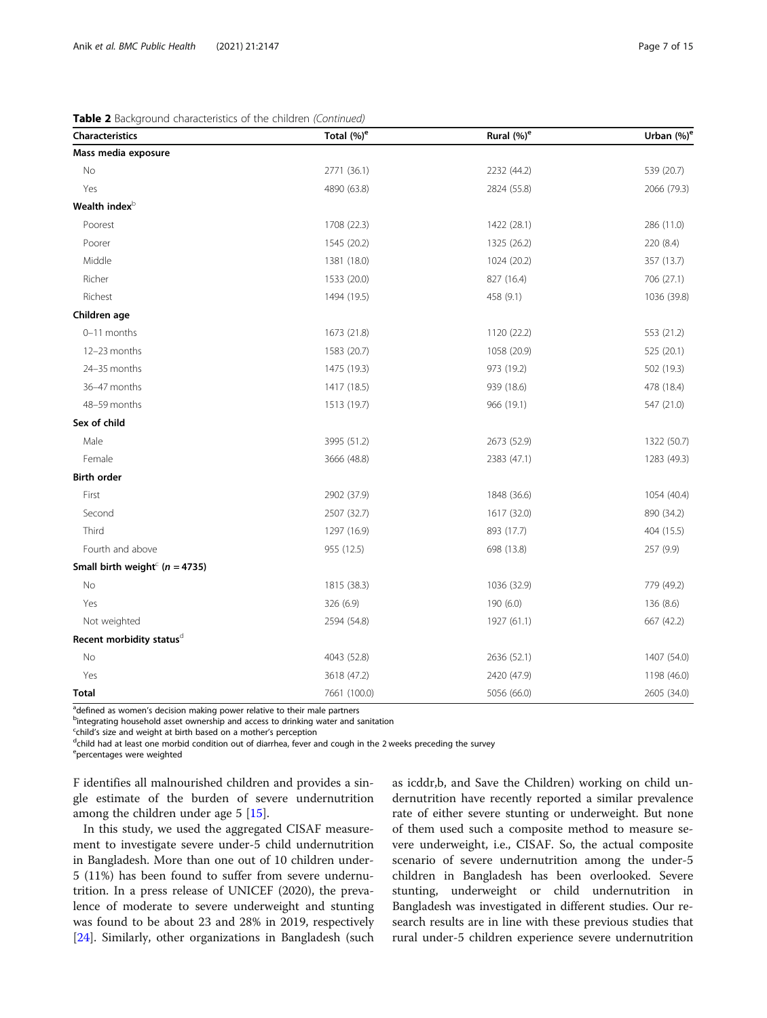Table 2 Background characteristics of the children (Continued)

| Characteristics                                | Total $(\%)^e$ | Rural (%) <sup>e</sup> | Urban (%) <sup>6</sup> |
|------------------------------------------------|----------------|------------------------|------------------------|
| Mass media exposure                            |                |                        |                        |
| No                                             | 2771 (36.1)    | 2232 (44.2)            | 539 (20.7)             |
| Yes                                            | 4890 (63.8)    | 2824 (55.8)            | 2066 (79.3)            |
| Wealth index <sup>b</sup>                      |                |                        |                        |
| Poorest                                        | 1708 (22.3)    | 1422 (28.1)            | 286 (11.0)             |
| Poorer                                         | 1545 (20.2)    | 1325 (26.2)            | 220 (8.4)              |
| Middle                                         | 1381 (18.0)    | 1024 (20.2)            | 357 (13.7)             |
| Richer                                         | 1533 (20.0)    | 827 (16.4)             | 706 (27.1)             |
| Richest                                        | 1494 (19.5)    | 458 (9.1)              | 1036 (39.8)            |
| Children age                                   |                |                        |                        |
| 0-11 months                                    | 1673 (21.8)    | 1120 (22.2)            | 553 (21.2)             |
| 12-23 months                                   | 1583 (20.7)    | 1058 (20.9)            | 525 (20.1)             |
| 24-35 months                                   | 1475 (19.3)    | 973 (19.2)             | 502 (19.3)             |
| 36-47 months                                   | 1417 (18.5)    | 939 (18.6)             | 478 (18.4)             |
| 48-59 months                                   | 1513 (19.7)    | 966 (19.1)             | 547 (21.0)             |
| Sex of child                                   |                |                        |                        |
| Male                                           | 3995 (51.2)    | 2673 (52.9)            | 1322 (50.7)            |
| Female                                         | 3666 (48.8)    | 2383 (47.1)            | 1283 (49.3)            |
| <b>Birth order</b>                             |                |                        |                        |
| First                                          | 2902 (37.9)    | 1848 (36.6)            | 1054 (40.4)            |
| Second                                         | 2507 (32.7)    | 1617 (32.0)            | 890 (34.2)             |
| Third                                          | 1297 (16.9)    | 893 (17.7)             | 404 (15.5)             |
| Fourth and above                               | 955 (12.5)     | 698 (13.8)             | 257 (9.9)              |
| Small birth weight <sup>c</sup> ( $n = 4735$ ) |                |                        |                        |
| No                                             | 1815 (38.3)    | 1036 (32.9)            | 779 (49.2)             |
| Yes                                            | 326 (6.9)      | 190 (6.0)              | 136 (8.6)              |
| Not weighted                                   | 2594 (54.8)    | 1927 (61.1)            | 667 (42.2)             |
| Recent morbidity statusd                       |                |                        |                        |
| No                                             | 4043 (52.8)    | 2636 (52.1)            | 1407 (54.0)            |
| Yes                                            | 3618 (47.2)    | 2420 (47.9)            | 1198 (46.0)            |
| <b>Total</b>                                   | 7661 (100.0)   | 5056 (66.0)            | 2605 (34.0)            |

a<br>defined as women's decision making power relative to their male partners<br>protocrating bousebold asset ownership and access to drinking water and a

<sup>b</sup>integrating household asset ownership and access to drinking water and sanitation

 $\frac{c}{d}$ child's size and weight at birth based on a mother's perception

 $d$ child had at least one morbid condition out of diarrhea, fever and cough in the 2 weeks preceding the survey

<sup>e</sup>percentages were weighted

F identifies all malnourished children and provides a single estimate of the burden of severe undernutrition among the children under age 5 [\[15\]](#page-13-0).

In this study, we used the aggregated CISAF measurement to investigate severe under-5 child undernutrition in Bangladesh. More than one out of 10 children under-5 (11%) has been found to suffer from severe undernutrition. In a press release of UNICEF (2020), the prevalence of moderate to severe underweight and stunting was found to be about 23 and 28% in 2019, respectively [[24\]](#page-13-0). Similarly, other organizations in Bangladesh (such as icddr,b, and Save the Children) working on child undernutrition have recently reported a similar prevalence rate of either severe stunting or underweight. But none of them used such a composite method to measure severe underweight, i.e., CISAF. So, the actual composite scenario of severe undernutrition among the under-5 children in Bangladesh has been overlooked. Severe stunting, underweight or child undernutrition in Bangladesh was investigated in different studies. Our research results are in line with these previous studies that rural under-5 children experience severe undernutrition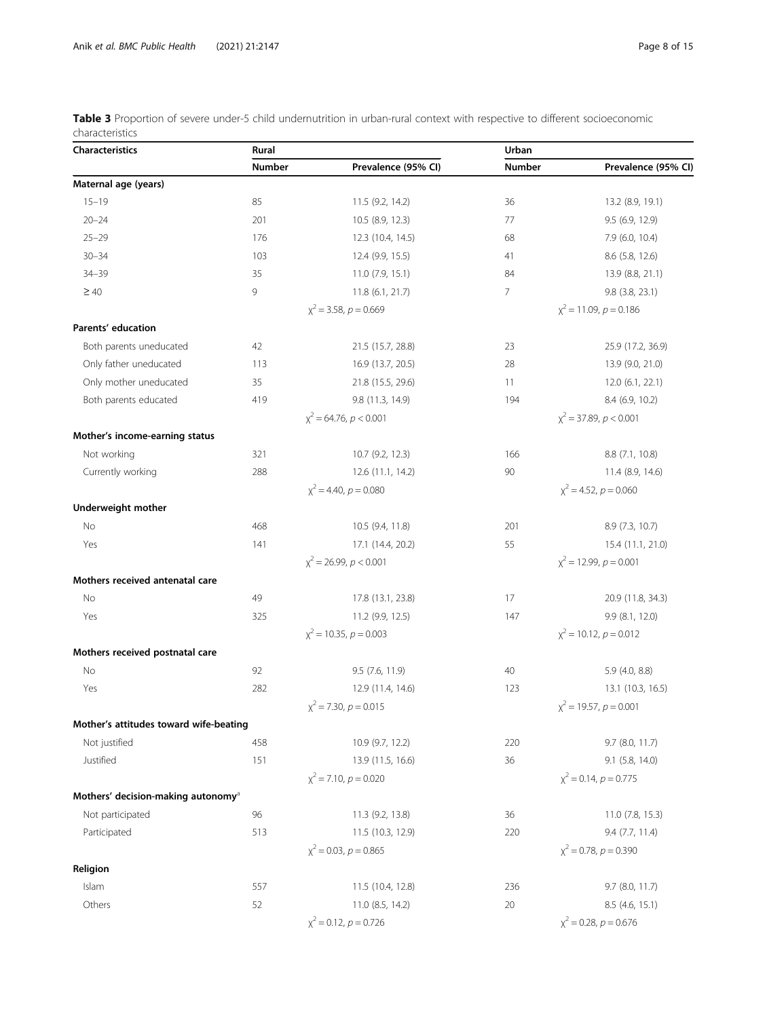<span id="page-7-0"></span>

|                 | Table 3 Proportion of severe under-5 child undernutrition in urban-rural context with respective to different socioeconomic |  |  |  |
|-----------------|-----------------------------------------------------------------------------------------------------------------------------|--|--|--|
| characteristics |                                                                                                                             |  |  |  |

| <b>Characteristics</b>                         | Rural  |                            | Urban          |                              |
|------------------------------------------------|--------|----------------------------|----------------|------------------------------|
|                                                | Number | Prevalence (95% CI)        | Number         | Prevalence (95% CI)          |
| Maternal age (years)                           |        |                            |                |                              |
| $15 - 19$                                      | 85     | 11.5 (9.2, 14.2)           | 36             | 13.2 (8.9, 19.1)             |
| $20 - 24$                                      | 201    | 10.5 (8.9, 12.3)           | 77             | 9.5(6.9, 12.9)               |
| $25 - 29$                                      | 176    | 12.3 (10.4, 14.5)          | 68             | $7.9$ (6.0, 10.4)            |
| $30 - 34$                                      | 103    | 12.4 (9.9, 15.5)           | 41             | 8.6 (5.8, 12.6)              |
| $34 - 39$                                      | 35     | 11.0(7.9, 15.1)            | 84             | 13.9 (8.8, 21.1)             |
| $\geq 40$                                      | 9      | 11.8 (6.1, 21.7)           | $\overline{7}$ | 9.8 (3.8, 23.1)              |
|                                                |        | $x^2$ = 3.58, $p$ = 0.669  |                | $x^2$ = 11.09, $p$ = 0.186   |
| Parents' education                             |        |                            |                |                              |
| Both parents uneducated                        | 42     | 21.5 (15.7, 28.8)          | 23             | 25.9 (17.2, 36.9)            |
| Only father uneducated                         | 113    | 16.9 (13.7, 20.5)          | 28             | 13.9 (9.0, 21.0)             |
| Only mother uneducated                         | 35     | 21.8 (15.5, 29.6)          | 11             | 12.0(6.1, 22.1)              |
| Both parents educated                          | 419    | 9.8 (11.3, 14.9)           | 194            | 8.4 (6.9, 10.2)              |
|                                                |        | $x^2$ = 64.76, $p < 0.001$ |                | $x^2$ = 37.89, $p < 0.001$   |
| Mother's income-earning status                 |        |                            |                |                              |
| Not working                                    | 321    | 10.7 (9.2, 12.3)           | 166            | 8.8 (7.1, 10.8)              |
| Currently working                              | 288    | 12.6 (11.1, 14.2)          | 90             | 11.4 (8.9, 14.6)             |
|                                                |        | $x^2$ = 4.40, $p = 0.080$  |                | $x^2$ = 4.52, $p = 0.060$    |
| Underweight mother                             |        |                            |                |                              |
| No                                             | 468    | 10.5 (9.4, 11.8)           | 201            | 8.9 (7.3, 10.7)              |
| Yes                                            | 141    | 17.1 (14.4, 20.2)          | 55             | 15.4 (11.1, 21.0)            |
|                                                |        | $x^2$ = 26.99, $p < 0.001$ |                | $x^2 = 12.99$ , $p = 0.001$  |
| Mothers received antenatal care                |        |                            |                |                              |
| No                                             | 49     | 17.8 (13.1, 23.8)          | 17             | 20.9 (11.8, 34.3)            |
| Yes                                            | 325    | 11.2 (9.9, 12.5)           | 147            | 9.9 (8.1, 12.0)              |
|                                                |        | $x^2$ = 10.35, $p = 0.003$ |                | $x^2$ = 10.12, $p$ = 0.012   |
| Mothers received postnatal care                |        |                            |                |                              |
| No                                             | 92     | 9.5 (7.6, 11.9)            | 40             | $5.9$ (4.0, 8.8)             |
| Yes                                            | 282    | 12.9 (11.4, 14.6)          | 123            | 13.1 (10.3, 16.5)            |
|                                                |        | $x^2$ = 7.30, $p = 0.015$  |                | $x^2$ = 19.57, $p = 0.001$   |
| Mother's attitudes toward wife-beating         |        |                            |                |                              |
| Not justified                                  | 458    | 10.9 (9.7, 12.2)           | 220            | 9.7 (8.0, 11.7)              |
| Justified                                      | 151    | 13.9 (11.5, 16.6)          | 36             | $9.1$ (5.8, 14.0)            |
|                                                |        | $x^2$ = 7.10, $p = 0.020$  |                | $x^2$ = 0.14, $p$ = 0.775    |
| Mothers' decision-making autonomy <sup>a</sup> |        |                            |                |                              |
| Not participated                               | 96     | 11.3 (9.2, 13.8)           | 36             | 11.0 (7.8, 15.3)             |
| Participated                                   | 513    | 11.5 (10.3, 12.9)          | 220            | 9.4 (7.7, 11.4)              |
|                                                |        | $x^2$ = 0.03, $p$ = 0.865  |                | $x^2$ = 0.78, $p$ = 0.390    |
| Religion                                       |        |                            |                |                              |
| Islam                                          | 557    | 11.5 (10.4, 12.8)          | 236            | 9.7 (8.0, 11.7)              |
| Others                                         | 52     | 11.0 (8.5, 14.2)           | 20             | 8.5 (4.6, 15.1)              |
|                                                |        | $x^2$ = 0.12, $p$ = 0.726  |                | $\chi^2$ = 0.28, $p$ = 0.676 |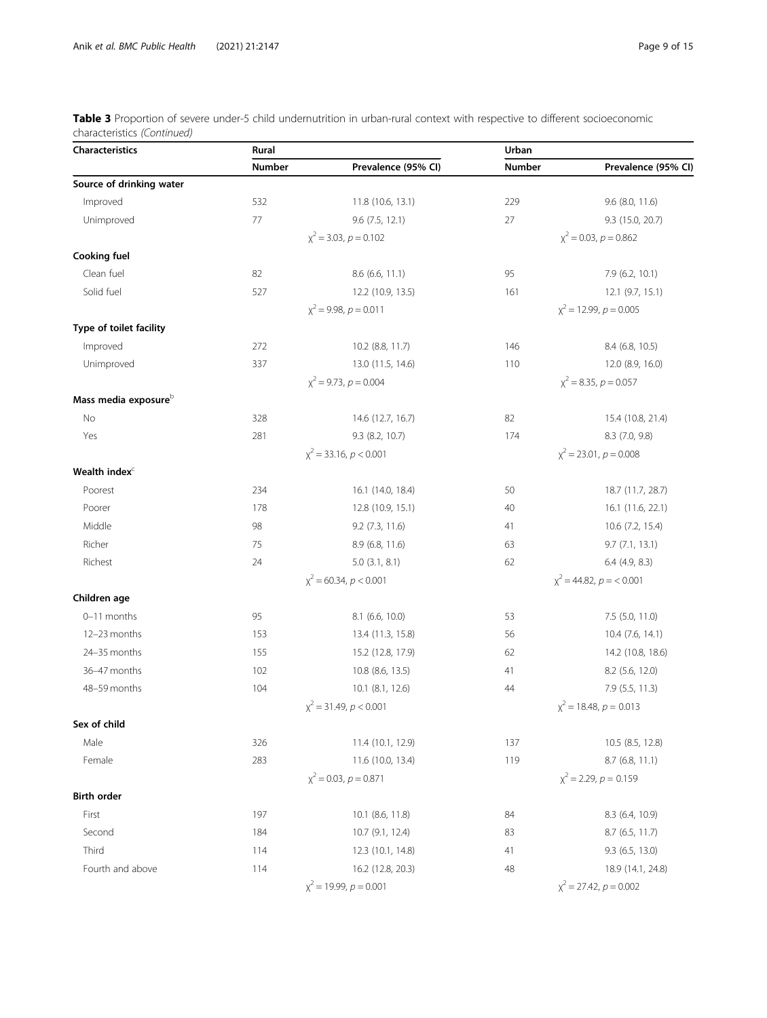| Table 3 Proportion of severe under-5 child undernutrition in urban-rural context with respective to different socioeconomic |  |  |  |
|-----------------------------------------------------------------------------------------------------------------------------|--|--|--|
| characteristics (Continued)                                                                                                 |  |  |  |

| <b>Characteristics</b>           | Rural  |                            | Urban  |                               |  |
|----------------------------------|--------|----------------------------|--------|-------------------------------|--|
|                                  | Number | Prevalence (95% CI)        | Number | Prevalence (95% CI)           |  |
| Source of drinking water         |        |                            |        |                               |  |
| Improved                         | 532    | 11.8 (10.6, 13.1)          | 229    | 9.6 (8.0, 11.6)               |  |
| Unimproved                       | 77     | 9.6(7.5, 12.1)             | 27     | 9.3 (15.0, 20.7)              |  |
|                                  |        | $x^2$ = 3.03, $p$ = 0.102  |        | $x^2$ = 0.03, $p$ = 0.862     |  |
| <b>Cooking fuel</b>              |        |                            |        |                               |  |
| Clean fuel                       | 82     | 8.6 (6.6, 11.1)            | 95     | 7.9 (6.2, 10.1)               |  |
| Solid fuel                       | 527    | 12.2 (10.9, 13.5)          | 161    | 12.1 (9.7, 15.1)              |  |
|                                  |        | $x^2$ = 9.98, $p$ = 0.011  |        | $x^2$ = 12.99, $p = 0.005$    |  |
| Type of toilet facility          |        |                            |        |                               |  |
| Improved                         | 272    | 10.2 (8.8, 11.7)           | 146    | 8.4 (6.8, 10.5)               |  |
| Unimproved                       | 337    | 13.0 (11.5, 14.6)          | 110    | 12.0 (8.9, 16.0)              |  |
|                                  |        | $x^2$ = 9.73, $p = 0.004$  |        | $x^2 = 8.35, p = 0.057$       |  |
| Mass media exposure <sup>b</sup> |        |                            |        |                               |  |
| No                               | 328    | 14.6 (12.7, 16.7)          | 82     | 15.4 (10.8, 21.4)             |  |
| Yes                              | 281    | 9.3(8.2, 10.7)             | 174    | 8.3 (7.0, 9.8)                |  |
|                                  |        | $x^2$ = 33.16, $p < 0.001$ |        | $x^2 = 23.01, p = 0.008$      |  |
| Wealth index <sup>c</sup>        |        |                            |        |                               |  |
| Poorest                          | 234    | 16.1 (14.0, 18.4)          | 50     | 18.7 (11.7, 28.7)             |  |
| Poorer                           | 178    | 12.8 (10.9, 15.1)          | 40     | 16.1 (11.6, 22.1)             |  |
| Middle                           | 98     | 9.2 (7.3, 11.6)            | 41     | 10.6 (7.2, 15.4)              |  |
| Richer                           | 75     | 8.9 (6.8, 11.6)            | 63     | 9.7(7.1, 13.1)                |  |
| Richest                          | 24     | $5.0$ $(3.1, 8.1)$         | 62     | $6.4$ (4.9, 8.3)              |  |
|                                  |        | $x^2$ = 60.34, $p < 0.001$ |        | $\chi^2$ = 44.82, $p = 0.001$ |  |
| Children age                     |        |                            |        |                               |  |
| 0-11 months                      | 95     | 8.1 (6.6, 10.0)            | 53     | 7.5 (5.0, 11.0)               |  |
| 12-23 months                     | 153    | 13.4 (11.3, 15.8)          | 56     | 10.4 (7.6, 14.1)              |  |
| 24-35 months                     | 155    | 15.2 (12.8, 17.9)          | 62     | 14.2 (10.8, 18.6)             |  |
| 36-47 months                     | 102    | 10.8 (8.6, 13.5)           | 41     | 8.2 (5.6, 12.0)               |  |
| 48-59 months                     | 104    | 10.1 (8.1, 12.6)           | 44     | 7.9 (5.5, 11.3)               |  |
|                                  |        | $x^2$ = 31.49, $p < 0.001$ |        | $x^2$ = 18.48, $p = 0.013$    |  |
| Sex of child                     |        |                            |        |                               |  |
| Male                             | 326    | 11.4 (10.1, 12.9)          | 137    | 10.5 (8.5, 12.8)              |  |
| Female                           | 283    | 11.6 (10.0, 13.4)          | 119    | $8.7$ (6.8, 11.1)             |  |
|                                  |        | $x^2$ = 0.03, $p$ = 0.871  |        | $x^2$ = 2.29, $p = 0.159$     |  |
| <b>Birth order</b>               |        |                            |        |                               |  |
| First                            | 197    | 10.1 (8.6, 11.8)           | 84     | 8.3 (6.4, 10.9)               |  |
| Second                           | 184    | 10.7 (9.1, 12.4)           | 83     | 8.7 (6.5, 11.7)               |  |
| Third                            | 114    | 12.3 (10.1, 14.8)          | 41     | $9.3$ (6.5, 13.0)             |  |
| Fourth and above                 | 114    | 16.2 (12.8, 20.3)          | 48     | 18.9 (14.1, 24.8)             |  |
|                                  |        | $x^2$ = 19.99, $p = 0.001$ |        | $x^2 = 27.42$ , $p = 0.002$   |  |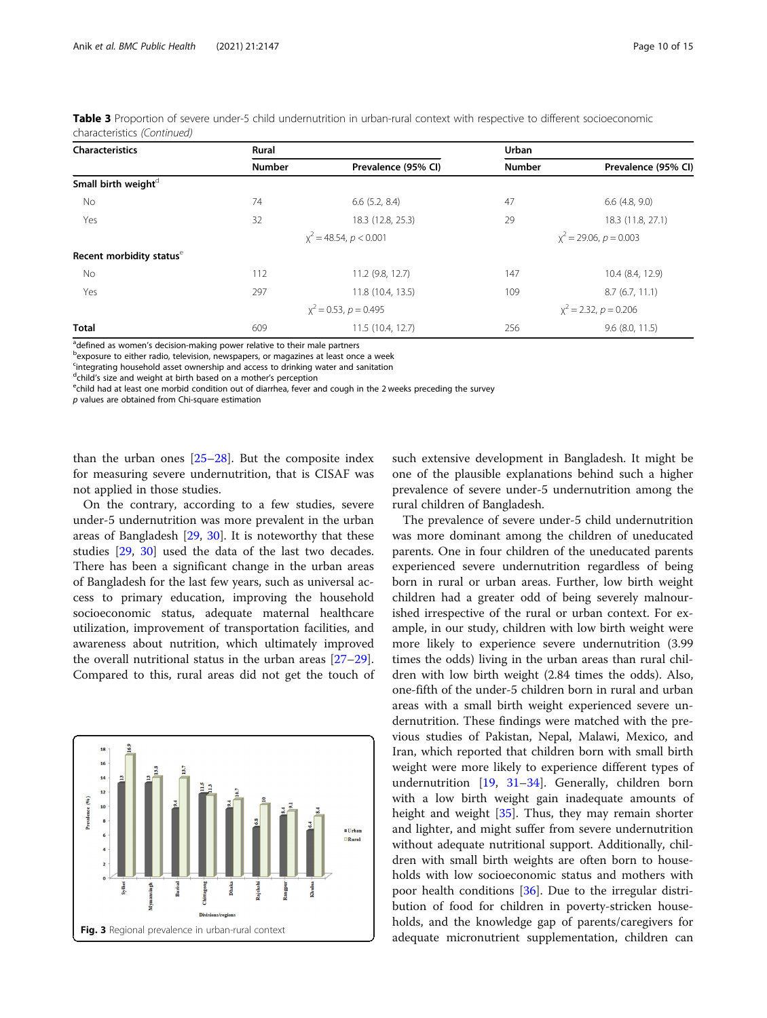| <b>Characteristics</b>               | Rural         |                           | Urban         |                            |  |
|--------------------------------------|---------------|---------------------------|---------------|----------------------------|--|
|                                      | <b>Number</b> | Prevalence (95% CI)       | <b>Number</b> | Prevalence (95% CI)        |  |
| Small birth weight <sup>d</sup>      |               |                           |               |                            |  |
| No                                   | 74            | $6.6$ $(5.2, 8.4)$        | 47            | $6.6$ (4.8, 9.0)           |  |
| Yes                                  | 32            | 18.3 (12.8, 25.3)         | 29            | 18.3 (11.8, 27.1)          |  |
|                                      |               | $x^2$ = 48.54, p < 0.001  |               | $x^2$ = 29.06, $p$ = 0.003 |  |
| Recent morbidity status <sup>e</sup> |               |                           |               |                            |  |
| No                                   | 112           | 11.2 (9.8, 12.7)          | 147           | 10.4 (8.4, 12.9)           |  |
| Yes                                  | 297           | 11.8 (10.4, 13.5)         | 109           | 8.7(6.7, 11.1)             |  |
|                                      |               | $x^2$ = 0.53, $p$ = 0.495 |               | $x^2$ = 2.32, $p = 0.206$  |  |
| <b>Total</b>                         | 609           | 11.5(10.4, 12.7)          | 256           | $9.6$ (8.0, 11.5)          |  |

<span id="page-9-0"></span>

| Table 3 Proportion of severe under-5 child undernutrition in urban-rural context with respective to different socioeconomic |  |  |  |  |
|-----------------------------------------------------------------------------------------------------------------------------|--|--|--|--|
| characteristics (Continued)                                                                                                 |  |  |  |  |

adefined as women's decision-making power relative to their male partners<br>Pexposure to either radio, television, newspapers, or magazines at least one

bexposure to either radio, television, newspapers, or magazines at least once a week

<sup>c</sup>integrating household asset ownership and access to drinking water and sanitation

<sup>d</sup>child's size and weight at birth based on a mother's perception<br>Echild had at least one morbid condition out of diarrhea, fever a

<sup>e</sup>child had at least one morbid condition out of diarrhea, fever and cough in the 2 weeks preceding the survey

p values are obtained from Chi-square estimation

than the urban ones [[25](#page-13-0)–[28](#page-13-0)]. But the composite index for measuring severe undernutrition, that is CISAF was not applied in those studies.

On the contrary, according to a few studies, severe under-5 undernutrition was more prevalent in the urban areas of Bangladesh [\[29](#page-13-0), [30\]](#page-13-0). It is noteworthy that these studies [[29](#page-13-0), [30\]](#page-13-0) used the data of the last two decades. There has been a significant change in the urban areas of Bangladesh for the last few years, such as universal access to primary education, improving the household socioeconomic status, adequate maternal healthcare utilization, improvement of transportation facilities, and awareness about nutrition, which ultimately improved the overall nutritional status in the urban areas [[27](#page-13-0)–[29](#page-13-0)]. Compared to this, rural areas did not get the touch of



such extensive development in Bangladesh. It might be one of the plausible explanations behind such a higher prevalence of severe under-5 undernutrition among the rural children of Bangladesh.

The prevalence of severe under-5 child undernutrition was more dominant among the children of uneducated parents. One in four children of the uneducated parents experienced severe undernutrition regardless of being born in rural or urban areas. Further, low birth weight children had a greater odd of being severely malnourished irrespective of the rural or urban context. For example, in our study, children with low birth weight were more likely to experience severe undernutrition (3.99 times the odds) living in the urban areas than rural children with low birth weight (2.84 times the odds). Also, one-fifth of the under-5 children born in rural and urban areas with a small birth weight experienced severe undernutrition. These findings were matched with the previous studies of Pakistan, Nepal, Malawi, Mexico, and Iran, which reported that children born with small birth weight were more likely to experience different types of undernutrition [\[19,](#page-13-0) [31](#page-13-0)–[34](#page-13-0)]. Generally, children born with a low birth weight gain inadequate amounts of height and weight [[35\]](#page-14-0). Thus, they may remain shorter and lighter, and might suffer from severe undernutrition without adequate nutritional support. Additionally, children with small birth weights are often born to households with low socioeconomic status and mothers with poor health conditions [[36](#page-14-0)]. Due to the irregular distribution of food for children in poverty-stricken households, and the knowledge gap of parents/caregivers for adequate micronutrient supplementation, children can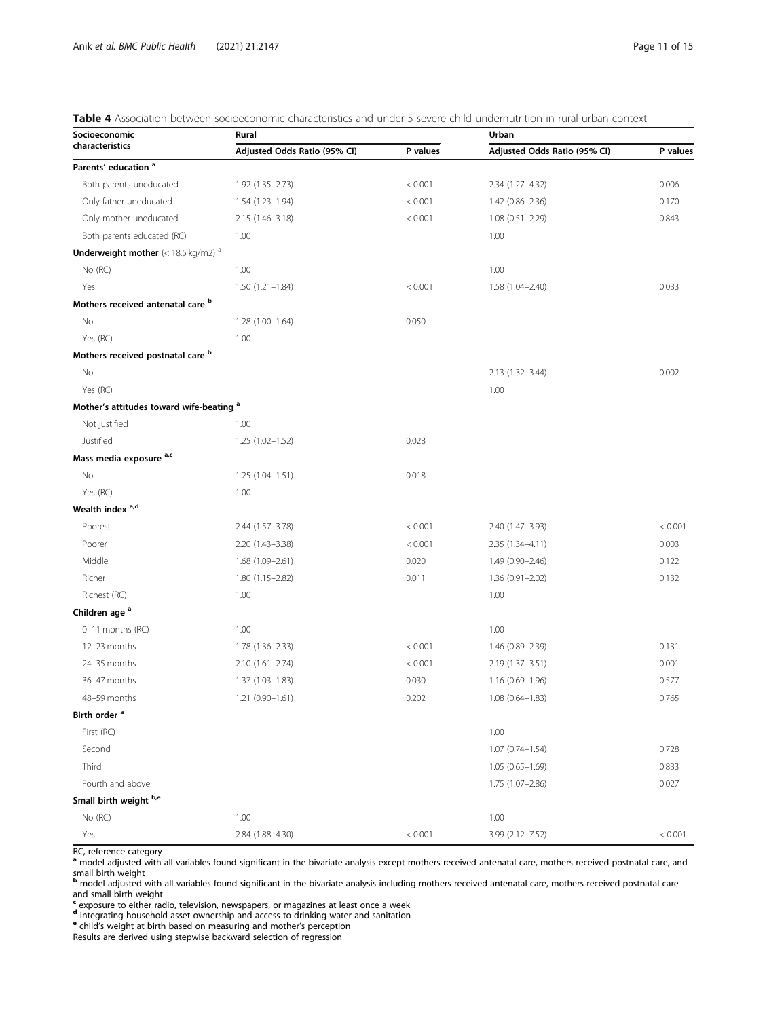<span id="page-10-0"></span>

|  |  |  |  | Table 4 Association between socioeconomic characteristics and under-5 severe child undernutrition in rural-urban context |  |  |  |  |  |
|--|--|--|--|--------------------------------------------------------------------------------------------------------------------------|--|--|--|--|--|
|--|--|--|--|--------------------------------------------------------------------------------------------------------------------------|--|--|--|--|--|

| Socioeconomic                                                   | Rural                        |          | Urban                        |          |  |  |
|-----------------------------------------------------------------|------------------------------|----------|------------------------------|----------|--|--|
| characteristics                                                 | Adjusted Odds Ratio (95% CI) | P values | Adjusted Odds Ratio (95% CI) | P values |  |  |
| Parents' education <sup>a</sup>                                 |                              |          |                              |          |  |  |
| Both parents uneducated                                         | 1.92 (1.35-2.73)             | < 0.001  | 2.34 (1.27-4.32)             | 0.006    |  |  |
| Only father uneducated                                          | 1.54 (1.23-1.94)             | < 0.001  | 1.42 (0.86-2.36)             | 0.170    |  |  |
| Only mother uneducated                                          | 2.15 (1.46-3.18)             | < 0.001  | $1.08(0.51 - 2.29)$          | 0.843    |  |  |
| Both parents educated (RC)                                      | 1.00                         |          | 1.00                         |          |  |  |
| <b>Underweight mother</b> $(< 18.5 \text{ kg/m2})$ <sup>a</sup> |                              |          |                              |          |  |  |
| No (RC)                                                         | 1.00                         |          | 1.00                         |          |  |  |
| Yes                                                             | $1.50(1.21 - 1.84)$          | < 0.001  | $1.58(1.04 - 2.40)$          | 0.033    |  |  |
| Mothers received antenatal care b                               |                              |          |                              |          |  |  |
| No                                                              | $1.28(1.00-1.64)$            | 0.050    |                              |          |  |  |
| Yes (RC)                                                        | 1.00                         |          |                              |          |  |  |
| Mothers received postnatal care b                               |                              |          |                              |          |  |  |
| No                                                              |                              |          | 2.13 (1.32-3.44)             | 0.002    |  |  |
| Yes (RC)                                                        |                              |          | 1.00                         |          |  |  |
| Mother's attitudes toward wife-beating <sup>a</sup>             |                              |          |                              |          |  |  |
| Not justified                                                   | 1.00                         |          |                              |          |  |  |
| Justified                                                       | $1.25(1.02 - 1.52)$          | 0.028    |                              |          |  |  |
| Mass media exposure a,c                                         |                              |          |                              |          |  |  |
| No                                                              | $1.25(1.04 - 1.51)$          | 0.018    |                              |          |  |  |
| Yes (RC)                                                        | 1.00                         |          |                              |          |  |  |
| Wealth index <sup>a,d</sup>                                     |                              |          |                              |          |  |  |
| Poorest                                                         | 2.44 (1.57-3.78)             | < 0.001  | 2.40 (1.47-3.93)             | < 0.001  |  |  |
| Poorer                                                          | 2.20 (1.43-3.38)             | < 0.001  | $2.35(1.34 - 4.11)$          | 0.003    |  |  |
| Middle                                                          | $1.68(1.09 - 2.61)$          | 0.020    | 1.49 (0.90-2.46)             | 0.122    |  |  |
| Richer                                                          | 1.80 (1.15-2.82)             | 0.011    | $1.36(0.91 - 2.02)$          | 0.132    |  |  |
| Richest (RC)                                                    | 1.00                         |          | 1.00                         |          |  |  |
| Children age <sup>a</sup>                                       |                              |          |                              |          |  |  |
| 0-11 months (RC)                                                | 1.00                         |          | 1.00                         |          |  |  |
| 12-23 months                                                    | 1.78 (1.36-2.33)             | < 0.001  | 1.46 (0.89–2.39)             | 0.131    |  |  |
| 24-35 months                                                    | $2.10(1.61 - 2.74)$          | < 0.001  | 2.19 (1.37-3.51)             | 0.001    |  |  |
| 36-47 months                                                    | $1.37(1.03 - 1.83)$          | 0.030    | $1.16(0.69 - 1.96)$          | 0.577    |  |  |
| 48-59 months                                                    | $1.21(0.90 - 1.61)$          | 0.202    | $1.08(0.64 - 1.83)$          | 0.765    |  |  |
| Birth order <sup>a</sup>                                        |                              |          |                              |          |  |  |
| First (RC)                                                      |                              |          | 1.00                         |          |  |  |
| Second                                                          |                              |          | $1.07(0.74 - 1.54)$          | 0.728    |  |  |
| Third                                                           |                              |          | $1.05(0.65 - 1.69)$          | 0.833    |  |  |
| Fourth and above                                                |                              |          | 1.75 (1.07-2.86)             | 0.027    |  |  |
| Small birth weight b,e                                          |                              |          |                              |          |  |  |
| No (RC)                                                         | 1.00                         |          | 1.00                         |          |  |  |
| Yes                                                             | 2.84 (1.88-4.30)             | < 0.001  | 3.99 (2.12-7.52)             | < 0.001  |  |  |

RC, reference category

a model adjusted with all variables found significant in the bivariate analysis except mothers received antenatal care, mothers received postnatal care, and

small birth weight<br><sup>b</sup> model adjusted with all variables found significant in the bivariate analysis including mothers received mothers received postnatal care and small birth weight

<sup>c</sup> exposure to either radio, television, newspapers, or magazines at least once a week

d integrating household asset ownership and access to drinking water and sanitation e child's weight at birth based on measuring and mother's perception

Results are derived using stepwise backward selection of regression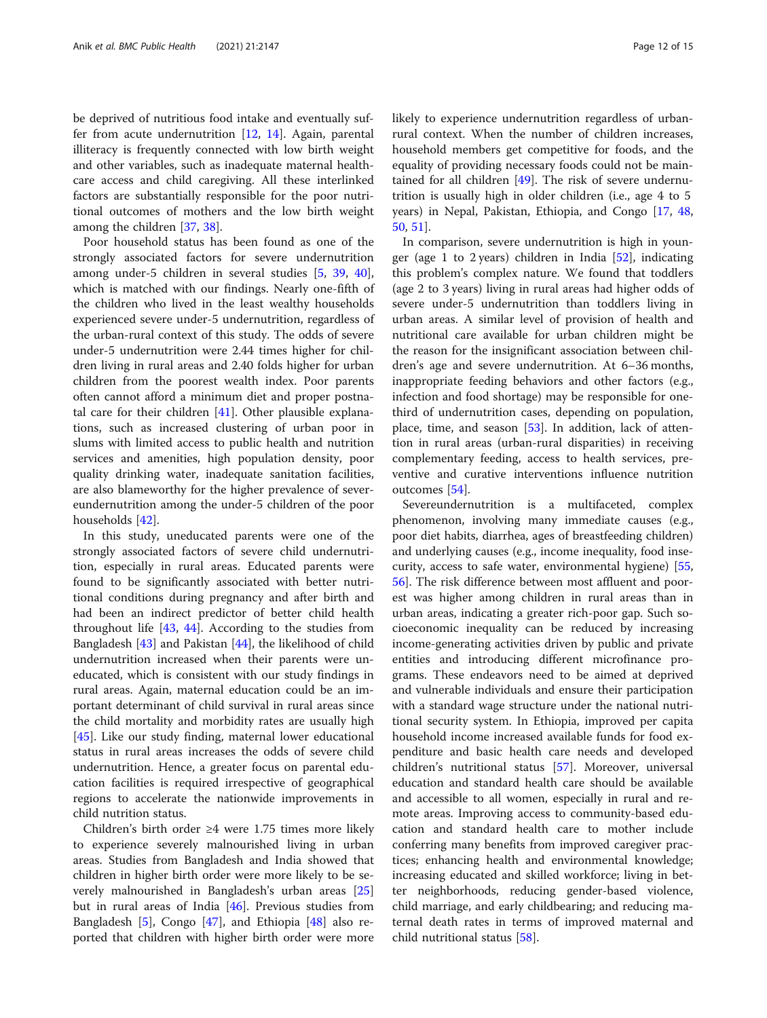be deprived of nutritious food intake and eventually suffer from acute undernutrition  $[12, 14]$  $[12, 14]$  $[12, 14]$  $[12, 14]$ . Again, parental illiteracy is frequently connected with low birth weight and other variables, such as inadequate maternal healthcare access and child caregiving. All these interlinked factors are substantially responsible for the poor nutritional outcomes of mothers and the low birth weight among the children [[37,](#page-14-0) [38\]](#page-14-0).

Poor household status has been found as one of the strongly associated factors for severe undernutrition among under-5 children in several studies [[5,](#page-13-0) [39](#page-14-0), [40](#page-14-0)], which is matched with our findings. Nearly one-fifth of the children who lived in the least wealthy households experienced severe under-5 undernutrition, regardless of the urban-rural context of this study. The odds of severe under-5 undernutrition were 2.44 times higher for children living in rural areas and 2.40 folds higher for urban children from the poorest wealth index. Poor parents often cannot afford a minimum diet and proper postnatal care for their children [[41](#page-14-0)]. Other plausible explanations, such as increased clustering of urban poor in slums with limited access to public health and nutrition services and amenities, high population density, poor quality drinking water, inadequate sanitation facilities, are also blameworthy for the higher prevalence of severeundernutrition among the under-5 children of the poor households [[42\]](#page-14-0).

In this study, uneducated parents were one of the strongly associated factors of severe child undernutrition, especially in rural areas. Educated parents were found to be significantly associated with better nutritional conditions during pregnancy and after birth and had been an indirect predictor of better child health throughout life [[43,](#page-14-0) [44\]](#page-14-0). According to the studies from Bangladesh [[43\]](#page-14-0) and Pakistan [[44\]](#page-14-0), the likelihood of child undernutrition increased when their parents were uneducated, which is consistent with our study findings in rural areas. Again, maternal education could be an important determinant of child survival in rural areas since the child mortality and morbidity rates are usually high [[45\]](#page-14-0). Like our study finding, maternal lower educational status in rural areas increases the odds of severe child undernutrition. Hence, a greater focus on parental education facilities is required irrespective of geographical regions to accelerate the nationwide improvements in child nutrition status.

Children's birth order ≥4 were 1.75 times more likely to experience severely malnourished living in urban areas. Studies from Bangladesh and India showed that children in higher birth order were more likely to be severely malnourished in Bangladesh's urban areas [[25](#page-13-0)] but in rural areas of India [[46](#page-14-0)]. Previous studies from Bangladesh [\[5](#page-13-0)], Congo [[47\]](#page-14-0), and Ethiopia [[48\]](#page-14-0) also reported that children with higher birth order were more likely to experience undernutrition regardless of urbanrural context. When the number of children increases, household members get competitive for foods, and the equality of providing necessary foods could not be maintained for all children [\[49](#page-14-0)]. The risk of severe undernutrition is usually high in older children (i.e., age 4 to 5 years) in Nepal, Pakistan, Ethiopia, and Congo [\[17](#page-13-0), [48](#page-14-0), [50,](#page-14-0) [51](#page-14-0)].

In comparison, severe undernutrition is high in younger (age 1 to 2 years) children in India [[52](#page-14-0)], indicating this problem's complex nature. We found that toddlers (age 2 to 3 years) living in rural areas had higher odds of severe under-5 undernutrition than toddlers living in urban areas. A similar level of provision of health and nutritional care available for urban children might be the reason for the insignificant association between children's age and severe undernutrition. At 6–36 months, inappropriate feeding behaviors and other factors (e.g., infection and food shortage) may be responsible for onethird of undernutrition cases, depending on population, place, time, and season [[53\]](#page-14-0). In addition, lack of attention in rural areas (urban-rural disparities) in receiving complementary feeding, access to health services, preventive and curative interventions influence nutrition outcomes [\[54](#page-14-0)].

Severeundernutrition is a multifaceted, complex phenomenon, involving many immediate causes (e.g., poor diet habits, diarrhea, ages of breastfeeding children) and underlying causes (e.g., income inequality, food insecurity, access to safe water, environmental hygiene) [[55](#page-14-0), [56\]](#page-14-0). The risk difference between most affluent and poorest was higher among children in rural areas than in urban areas, indicating a greater rich-poor gap. Such socioeconomic inequality can be reduced by increasing income-generating activities driven by public and private entities and introducing different microfinance programs. These endeavors need to be aimed at deprived and vulnerable individuals and ensure their participation with a standard wage structure under the national nutritional security system. In Ethiopia, improved per capita household income increased available funds for food expenditure and basic health care needs and developed children's nutritional status [\[57](#page-14-0)]. Moreover, universal education and standard health care should be available and accessible to all women, especially in rural and remote areas. Improving access to community-based education and standard health care to mother include conferring many benefits from improved caregiver practices; enhancing health and environmental knowledge; increasing educated and skilled workforce; living in better neighborhoods, reducing gender-based violence, child marriage, and early childbearing; and reducing maternal death rates in terms of improved maternal and child nutritional status [[58\]](#page-14-0).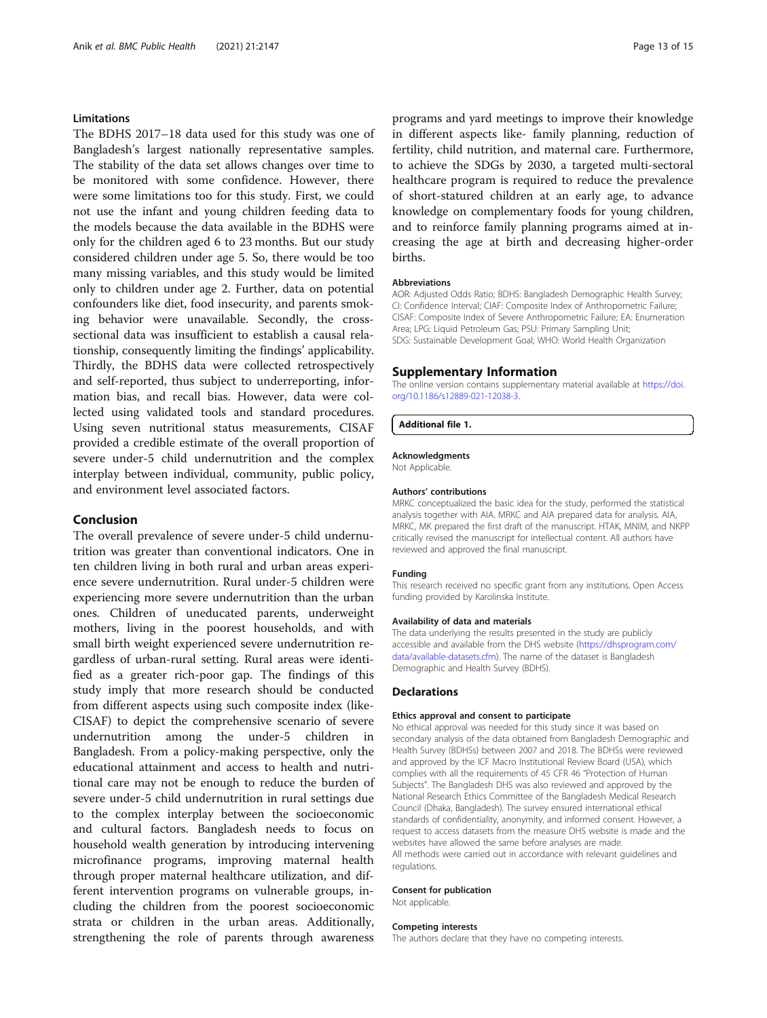# Limitations

The BDHS 2017–18 data used for this study was one of Bangladesh's largest nationally representative samples. The stability of the data set allows changes over time to be monitored with some confidence. However, there were some limitations too for this study. First, we could not use the infant and young children feeding data to the models because the data available in the BDHS were only for the children aged 6 to 23 months. But our study considered children under age 5. So, there would be too many missing variables, and this study would be limited only to children under age 2. Further, data on potential confounders like diet, food insecurity, and parents smoking behavior were unavailable. Secondly, the crosssectional data was insufficient to establish a causal relationship, consequently limiting the findings' applicability. Thirdly, the BDHS data were collected retrospectively and self-reported, thus subject to underreporting, information bias, and recall bias. However, data were collected using validated tools and standard procedures. Using seven nutritional status measurements, CISAF provided a credible estimate of the overall proportion of severe under-5 child undernutrition and the complex interplay between individual, community, public policy, and environment level associated factors.

# Conclusion

The overall prevalence of severe under-5 child undernutrition was greater than conventional indicators. One in ten children living in both rural and urban areas experience severe undernutrition. Rural under-5 children were experiencing more severe undernutrition than the urban ones. Children of uneducated parents, underweight mothers, living in the poorest households, and with small birth weight experienced severe undernutrition regardless of urban-rural setting. Rural areas were identified as a greater rich-poor gap. The findings of this study imply that more research should be conducted from different aspects using such composite index (like-CISAF) to depict the comprehensive scenario of severe undernutrition among the under-5 children in Bangladesh. From a policy-making perspective, only the educational attainment and access to health and nutritional care may not be enough to reduce the burden of severe under-5 child undernutrition in rural settings due to the complex interplay between the socioeconomic and cultural factors. Bangladesh needs to focus on household wealth generation by introducing intervening microfinance programs, improving maternal health through proper maternal healthcare utilization, and different intervention programs on vulnerable groups, including the children from the poorest socioeconomic strata or children in the urban areas. Additionally, strengthening the role of parents through awareness

programs and yard meetings to improve their knowledge in different aspects like- family planning, reduction of fertility, child nutrition, and maternal care. Furthermore, to achieve the SDGs by 2030, a targeted multi-sectoral healthcare program is required to reduce the prevalence of short-statured children at an early age, to advance knowledge on complementary foods for young children, and to reinforce family planning programs aimed at increasing the age at birth and decreasing higher-order births.

#### Abbreviations

AOR: Adjusted Odds Ratio; BDHS: Bangladesh Demographic Health Survey; CI: Confidence Interval; CIAF: Composite Index of Anthropometric Failure; CISAF: Composite Index of Severe Anthropometric Failure; EA: Enumeration Area; LPG: Liquid Petroleum Gas; PSU: Primary Sampling Unit; SDG: Sustainable Development Goal; WHO: World Health Organization

#### Supplementary Information

The online version contains supplementary material available at [https://doi.](https://doi.org/10.1186/s12889-021-12038-3) [org/10.1186/s12889-021-12038-3.](https://doi.org/10.1186/s12889-021-12038-3)

#### Additional file 1.

#### Acknowledgments

Not Applicable.

#### Authors' contributions

MRKC conceptualized the basic idea for the study, performed the statistical analysis together with AIA. MRKC and AIA prepared data for analysis. AIA, MRKC, MK prepared the first draft of the manuscript. HTAK, MNIM, and NKPP critically revised the manuscript for intellectual content. All authors have reviewed and approved the final manuscript.

#### Funding

This research received no specific grant from any institutions. Open Access funding provided by Karolinska Institute.

#### Availability of data and materials

The data underlying the results presented in the study are publicly accessible and available from the DHS website ([https://dhsprogram.com/](https://dhsprogram.com/data/available-datasets.cfm) [data/available-datasets.cfm](https://dhsprogram.com/data/available-datasets.cfm)). The name of the dataset is Bangladesh Demographic and Health Survey (BDHS).

#### Declarations

#### Ethics approval and consent to participate

No ethical approval was needed for this study since it was based on secondary analysis of the data obtained from Bangladesh Demographic and Health Survey (BDHSs) between 2007 and 2018. The BDHSs were reviewed and approved by the ICF Macro Institutional Review Board (USA), which complies with all the requirements of 45 CFR 46 "Protection of Human Subjects". The Bangladesh DHS was also reviewed and approved by the National Research Ethics Committee of the Bangladesh Medical Research Council (Dhaka, Bangladesh). The survey ensured international ethical standards of confidentiality, anonymity, and informed consent. However, a request to access datasets from the measure DHS website is made and the websites have allowed the same before analyses are made. All methods were carried out in accordance with relevant guidelines and regulations.

#### Consent for publication

Not applicable.

#### Competing interests

The authors declare that they have no competing interests.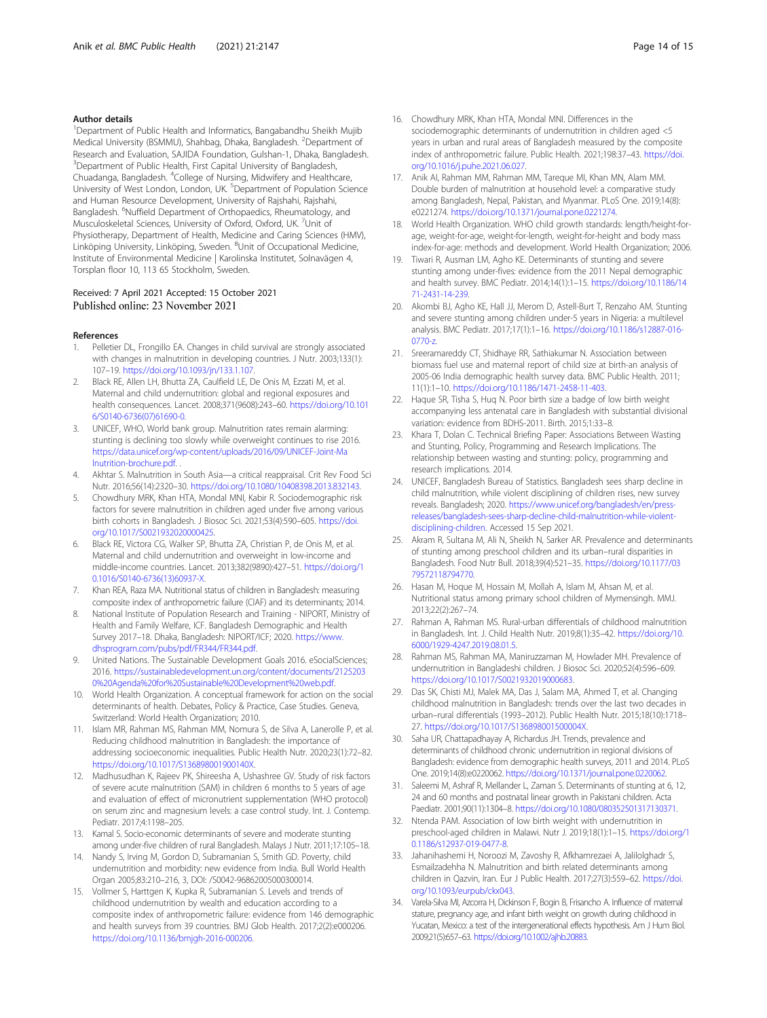#### <span id="page-13-0"></span>Author details

<sup>1</sup>Department of Public Health and Informatics, Bangabandhu Sheikh Mujib Medical University (BSMMU), Shahbag, Dhaka, Bangladesh. <sup>2</sup>Department of Research and Evaluation, SAJIDA Foundation, Gulshan-1, Dhaka, Bangladesh. <sup>3</sup>Department of Public Health, First Capital University of Bangladesh, Chuadanga, Bangladesh. <sup>4</sup>College of Nursing, Midwifery and Healthcare, University of West London, London, UK.<sup>5</sup> Department of Population Science and Human Resource Development, University of Rajshahi, Rajshahi, Bangladesh. <sup>6</sup>Nuffield Department of Orthopaedics, Rheumatology, and Musculoskeletal Sciences, University of Oxford, Oxford, UK. <sup>7</sup>Unit of Physiotherapy, Department of Health, Medicine and Caring Sciences (HMV), Linköping University, Linköping, Sweden. <sup>8</sup>Unit of Occupational Medicine, Institute of Environmental Medicine | Karolinska Institutet, Solnavägen 4, Torsplan floor 10, 113 65 Stockholm, Sweden.

#### Received: 7 April 2021 Accepted: 15 October 2021 Published online: 23 November 2021

#### References

- 1. Pelletier DL, Frongillo EA. Changes in child survival are strongly associated with changes in malnutrition in developing countries. J Nutr. 2003;133(1): 107–19. [https://doi.org/10.1093/jn/133.1.107.](https://doi.org/10.1093/jn/133.1.107)
- 2. Black RE, Allen LH, Bhutta ZA, Caulfield LE, De Onis M, Ezzati M, et al. Maternal and child undernutrition: global and regional exposures and health consequences. Lancet. 2008;371(9608):243–60. [https://doi.org/10.101](https://doi.org/10.1016/S0140-6736(07)61690-0) [6/S0140-6736\(07\)61690-0](https://doi.org/10.1016/S0140-6736(07)61690-0).
- 3. UNICEF, WHO, World bank group. Malnutrition rates remain alarming: stunting is declining too slowly while overweight continues to rise 2016. [https://data.unicef.org/wp-content/uploads/2016/09/UNICEF-Joint-Ma](https://data.unicef.org/wp-content/uploads/2016/09/UNICEF-Joint-Malnutrition-brochure.pdf) [lnutrition-brochure.pdf](https://data.unicef.org/wp-content/uploads/2016/09/UNICEF-Joint-Malnutrition-brochure.pdf). .
- 4. Akhtar S. Malnutrition in South Asia—a critical reappraisal. Crit Rev Food Sci Nutr. 2016;56(14):2320–30. <https://doi.org/10.1080/10408398.2013.832143>.
- 5. Chowdhury MRK, Khan HTA, Mondal MNI, Kabir R. Sociodemographic risk factors for severe malnutrition in children aged under five among various birth cohorts in Bangladesh. J Biosoc Sci. 2021;53(4):590–605. [https://doi.](https://doi.org/10.1017/S0021932020000425) [org/10.1017/S0021932020000425.](https://doi.org/10.1017/S0021932020000425)
- 6. Black RE, Victora CG, Walker SP, Bhutta ZA, Christian P, de Onis M, et al. Maternal and child undernutrition and overweight in low-income and middle-income countries. Lancet. 2013;382(9890):427–51. [https://doi.org/1](https://doi.org/10.1016/S0140-6736(13)60937-X) [0.1016/S0140-6736\(13\)60937-X.](https://doi.org/10.1016/S0140-6736(13)60937-X)
- 7. Khan REA, Raza MA. Nutritional status of children in Bangladesh: measuring composite index of anthropometric failure (CIAF) and its determinants; 2014.
- 8. National Institute of Population Research and Training NIPORT, Ministry of Health and Family Welfare, ICF. Bangladesh Demographic and Health Survey 2017–18. Dhaka, Bangladesh: NIPORT/ICF; 2020. [https://www.](https://www.dhsprogram.com/pubs/pdf/FR344/FR344.pdf) [dhsprogram.com/pubs/pdf/FR344/FR344.pdf.](https://www.dhsprogram.com/pubs/pdf/FR344/FR344.pdf)
- United Nations. The Sustainable Development Goals 2016. eSocialSciences; 2016. [https://sustainabledevelopment.un.org/content/documents/2125203](https://sustainabledevelopment.un.org/content/documents/21252030%20Agenda%20for%20Sustainable%20Development%20web.pdf) [0%20Agenda%20for%20Sustainable%20Development%20web.pdf](https://sustainabledevelopment.un.org/content/documents/21252030%20Agenda%20for%20Sustainable%20Development%20web.pdf).
- 10. World Health Organization. A conceptual framework for action on the social determinants of health. Debates, Policy & Practice, Case Studies. Geneva, Switzerland: World Health Organization; 2010.
- 11. Islam MR, Rahman MS, Rahman MM, Nomura S, de Silva A, Lanerolle P, et al. Reducing childhood malnutrition in Bangladesh: the importance of addressing socioeconomic inequalities. Public Health Nutr. 2020;23(1):72–82. <https://doi.org/10.1017/S136898001900140X>.
- 12. Madhusudhan K, Rajeev PK, Shireesha A, Ushashree GV. Study of risk factors of severe acute malnutrition (SAM) in children 6 months to 5 years of age and evaluation of effect of micronutrient supplementation (WHO protocol) on serum zinc and magnesium levels: a case control study. Int. J. Contemp. Pediatr. 2017;4:1198–205.
- 13. Kamal S. Socio-economic determinants of severe and moderate stunting among under-five children of rural Bangladesh. Malays J Nutr. 2011;17:105–18.
- 14. Nandy S, Irving M, Gordon D, Subramanian S, Smith GD. Poverty, child undernutrition and morbidity: new evidence from India. Bull World Health Organ 2005;83:210–216, 3, DOI: /S0042-96862005000300014.
- 15. Vollmer S, Harttgen K, Kupka R, Subramanian S. Levels and trends of childhood undernutrition by wealth and education according to a composite index of anthropometric failure: evidence from 146 demographic and health surveys from 39 countries. BMJ Glob Health. 2017;2(2):e000206. [https://doi.org/10.1136/bmjgh-2016-000206.](https://doi.org/10.1136/bmjgh-2016-000206)
- 16. Chowdhury MRK, Khan HTA, Mondal MNI. Differences in the sociodemographic determinants of undernutrition in children aged <5 years in urban and rural areas of Bangladesh measured by the composite index of anthropometric failure. Public Health. 2021;198:37–43. [https://doi.](https://doi.org/10.1016/j.puhe.2021.06.027) [org/10.1016/j.puhe.2021.06.027.](https://doi.org/10.1016/j.puhe.2021.06.027)
- 17. Anik AI, Rahman MM, Rahman MM, Tareque MI, Khan MN, Alam MM. Double burden of malnutrition at household level: a comparative study among Bangladesh, Nepal, Pakistan, and Myanmar. PLoS One. 2019;14(8): e0221274. <https://doi.org/10.1371/journal.pone.0221274>.
- 18. World Health Organization. WHO child growth standards: length/height-forage, weight-for-age, weight-for-length, weight-for-height and body mass index-for-age: methods and development. World Health Organization; 2006.
- 19. Tiwari R, Ausman LM, Agho KE. Determinants of stunting and severe stunting among under-fives: evidence from the 2011 Nepal demographic and health survey. BMC Pediatr. 2014;14(1):1–15. [https://doi.org/10.1186/14](https://doi.org/10.1186/1471-2431-14-239) [71-2431-14-239.](https://doi.org/10.1186/1471-2431-14-239)
- 20. Akombi BJ, Agho KE, Hall JJ, Merom D, Astell-Burt T, Renzaho AM. Stunting and severe stunting among children under-5 years in Nigeria: a multilevel analysis. BMC Pediatr. 2017;17(1):1–16. [https://doi.org/10.1186/s12887-016-](https://doi.org/10.1186/s12887-016-0770-z) [0770-z](https://doi.org/10.1186/s12887-016-0770-z).
- 21. Sreeramareddy CT, Shidhaye RR, Sathiakumar N. Association between biomass fuel use and maternal report of child size at birth-an analysis of 2005-06 India demographic health survey data. BMC Public Health. 2011; 11(1):1–10. [https://doi.org/10.1186/1471-2458-11-403.](https://doi.org/10.1186/1471-2458-11-403)
- 22. Haque SR, Tisha S, Huq N. Poor birth size a badge of low birth weight accompanying less antenatal care in Bangladesh with substantial divisional variation: evidence from BDHS-2011. Birth. 2015;1:33–8.
- 23. Khara T, Dolan C. Technical Briefing Paper: Associations Between Wasting and Stunting, Policy, Programming and Research Implications. The relationship between wasting and stunting: policy, programming and research implications. 2014.
- 24. UNICEF, Bangladesh Bureau of Statistics. Bangladesh sees sharp decline in child malnutrition, while violent disciplining of children rises, new survey reveals. Bangladesh; 2020. [https://www.unicef.org/bangladesh/en/press](https://www.unicef.org/bangladesh/en/press-releases/bangladesh-sees-sharp-decline-child-malnutrition-while-violent-disciplining-children)[releases/bangladesh-sees-sharp-decline-child-malnutrition-while-violent](https://www.unicef.org/bangladesh/en/press-releases/bangladesh-sees-sharp-decline-child-malnutrition-while-violent-disciplining-children)[disciplining-children](https://www.unicef.org/bangladesh/en/press-releases/bangladesh-sees-sharp-decline-child-malnutrition-while-violent-disciplining-children). Accessed 15 Sep 2021.
- 25. Akram R, Sultana M, Ali N, Sheikh N, Sarker AR. Prevalence and determinants of stunting among preschool children and its urban–rural disparities in Bangladesh. Food Nutr Bull. 2018;39(4):521–35. [https://doi.org/10.1177/03](https://doi.org/10.1177/0379572118794770) [79572118794770](https://doi.org/10.1177/0379572118794770).
- 26. Hasan M, Hoque M, Hossain M, Mollah A, Islam M, Ahsan M, et al. Nutritional status among primary school children of Mymensingh. MMJ. 2013;22(2):267–74.
- 27. Rahman A, Rahman MS, Rural-urban differentials of childhood malnutrition in Bangladesh. Int. J. Child Health Nutr. 2019;8(1):35–42. [https://doi.org/10.](https://doi.org/10.6000/1929-4247.2019.08.01.5) [6000/1929-4247.2019.08.01.5.](https://doi.org/10.6000/1929-4247.2019.08.01.5)
- 28. Rahman MS, Rahman MA, Maniruzzaman M, Howlader MH. Prevalence of undernutrition in Bangladeshi children. J Biosoc Sci. 2020;52(4):596–609. [https://doi.org/10.1017/S0021932019000683.](https://doi.org/10.1017/S0021932019000683)
- 29. Das SK, Chisti MJ, Malek MA, Das J, Salam MA, Ahmed T, et al. Changing childhood malnutrition in Bangladesh: trends over the last two decades in urban–rural differentials (1993–2012). Public Health Nutr. 2015;18(10):1718– 27. <https://doi.org/10.1017/S136898001500004X>.
- 30. Saha UR, Chattapadhayay A, Richardus JH. Trends, prevalence and determinants of childhood chronic undernutrition in regional divisions of Bangladesh: evidence from demographic health surveys, 2011 and 2014. PLoS One. 2019;14(8):e0220062. [https://doi.org/10.1371/journal.pone.0220062.](https://doi.org/10.1371/journal.pone.0220062)
- 31. Saleemi M, Ashraf R, Mellander L, Zaman S. Determinants of stunting at 6, 12, 24 and 60 months and postnatal linear growth in Pakistani children. Acta Paediatr. 2001;90(11):1304–8. <https://doi.org/10.1080/080352501317130371>.
- 32. Ntenda PAM. Association of low birth weight with undernutrition in preschool-aged children in Malawi. Nutr J. 2019;18(1):1–15. [https://doi.org/1](https://doi.org/10.1186/s12937-019-0477-8) [0.1186/s12937-019-0477-8.](https://doi.org/10.1186/s12937-019-0477-8)
- 33. Jahanihashemi H, Noroozi M, Zavoshy R, Afkhamrezaei A, Jalilolghadr S, Esmailzadehha N. Malnutrition and birth related determinants among children in Qazvin, Iran. Eur J Public Health. 2017;27(3):559–62. [https://doi.](https://doi.org/10.1093/eurpub/ckx043) [org/10.1093/eurpub/ckx043](https://doi.org/10.1093/eurpub/ckx043).
- 34. Varela-Silva MI, Azcorra H, Dickinson F, Bogin B, Frisancho A. Influence of maternal stature, pregnancy age, and infant birth weight on growth during childhood in Yucatan, Mexico: a test of the intergenerational effects hypothesis. Am J Hum Biol. 2009;21(5):657–63. [https://doi.org/10.1002/ajhb.20883.](https://doi.org/10.1002/ajhb.20883)